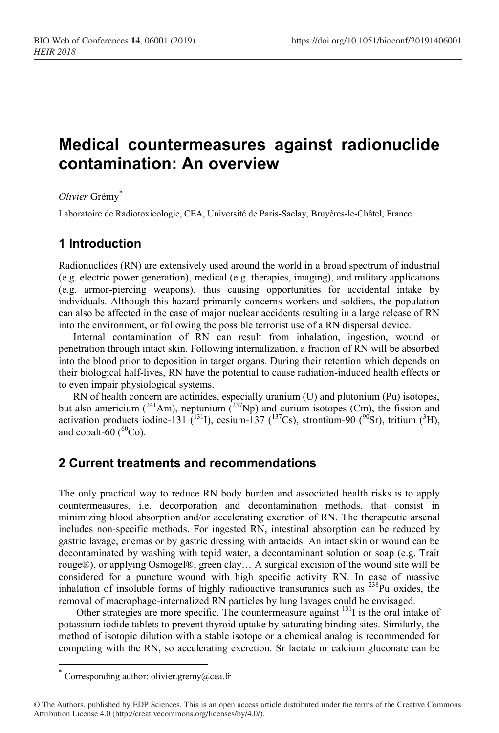# **Medical countermeasures against radionuclide contamination: An overview**

*Olivier* Grémy\*

Laboratoire de Radiotoxicologie, CEA, Université de Paris-Saclay, Bruyères-le-Châtel, France

# **1 Introduction**

Radionuclides (RN) are extensively used around the world in a broad spectrum of industrial (e.g. electric power generation), medical (e.g. therapies, imaging), and military applications (e.g. armor-piercing weapons), thus causing opportunities for accidental intake by individuals. Although this hazard primarily concerns workers and soldiers, the population can also be affected in the case of major nuclear accidents resulting in a large release of RN into the environment, or following the possible terrorist use of a RN dispersal device.

Internal contamination of RN can result from inhalation, ingestion, wound or penetration through intact skin. Following internalization, a fraction of RN will be absorbed into the blood prior to deposition in target organs. During their retention which depends on their biological half-lives, RN have the potential to cause radiation-induced health effects or to even impair physiological systems.

RN of health concern are actinides, especially uranium (U) and plutonium (Pu) isotopes, but also americium ( $^{241}$ Am), neptunium ( $^{237}$ Np) and curium isotopes (Cm), the fission and activation products iodine-131 (<sup>131</sup>I), cesium-137 (<sup>137</sup>Cs), strontium-90 (<sup>90</sup>Sr), tritium (<sup>3</sup>H), and cobalt-60  $(^{60}Co)$ .

### **2 Current treatments and recommendations**

The only practical way to reduce RN body burden and associated health risks is to apply countermeasures, i.e. decorporation and decontamination methods, that consist in minimizing blood absorption and/or accelerating excretion of RN. The therapeutic arsenal includes non-specific methods. For ingested RN, intestinal absorption can be reduced by gastric lavage, enemas or by gastric dressing with antacids. An intact skin or wound can be decontaminated by washing with tepid water, a decontaminant solution or soap (e.g. Trait rouge®), or applying Osmogel®, green clay… A surgical excision of the wound site will be considered for a puncture wound with high specific activity RN. In case of massive inhalation of insoluble forms of highly radioactive transuranics such as  $^{238}$ Pu oxides, the removal of macrophage-internalized RN particles by lung lavages could be envisaged.

Other strategies are more specific. The countermeasure against  $131$  is the oral intake of potassium iodide tablets to prevent thyroid uptake by saturating binding sites. Similarly, the method of isotopic dilution with a stable isotope or a chemical analog is recommended for competing with the RN, so accelerating excretion. Sr lactate or calcium gluconate can be

 $\overline{a}$ 

<sup>\*</sup> Corresponding author: olivier.grem[y@cea.fr](mailto:author@email.org)

<sup>©</sup> The Authors, published by EDP Sciences. This is an open access article distributed under the terms of the Creative Commons Attribution License 4.0 (http://creativecommons.org/licenses/by/4.0/).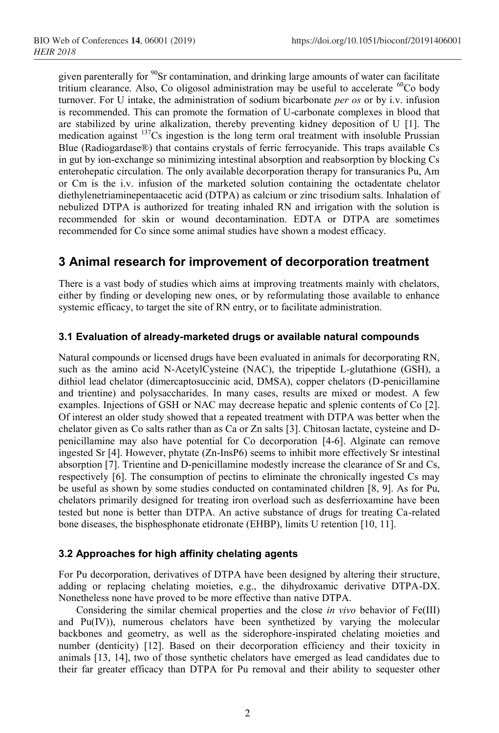given parenterally for  $\frac{90}{5}$ Sr contamination, and drinking large amounts of water can facilitate tritium clearance. Also, Co oligosol administration may be useful to accelerate  ${}^{60}$ Co body turnover. For U intake, the administration of sodium bicarbonate *per os* or by i.v. infusion is recommended. This can promote the formation of U-carbonate complexes in blood that are stabilized by urine alkalization, thereby preventing kidney deposition of U [\[1\]](#page-3-0). The medication against <sup>137</sup>Cs ingestion is the long term oral treatment with insoluble Prussian Blue (Radiogardase®) that contains crystals of ferric ferrocyanide. This traps available Cs in gut by ion-exchange so minimizing intestinal absorption and reabsorption by blocking Cs enterohepatic circulation. The only available decorporation therapy for transuranics Pu, Am or Cm is the i.v. infusion of the marketed solution containing the octadentate chelator diethylenetriaminepentaacetic acid (DTPA) as calcium or zinc trisodium salts. Inhalation of nebulized DTPA is authorized for treating inhaled RN and irrigation with the solution is recommended for skin or wound decontamination. EDTA or DTPA are sometimes recommended for Co since some animal studies have shown a modest efficacy.

## **3 Animal research for improvement of decorporation treatment**

There is a vast body of studies which aims at improving treatments mainly with chelators, either by finding or developing new ones, or by reformulating those available to enhance systemic efficacy, to target the site of RN entry, or to facilitate administration.

#### **3.1 Evaluation of already-marketed drugs or available natural compounds**

Natural compounds or licensed drugs have been evaluated in animals for decorporating RN, such as the amino acid N-AcetylCysteine (NAC), the tripeptide L-glutathione (GSH), a dithiol lead chelator (dimercaptosuccinic acid, DMSA), copper chelators (D-penicillamine and trientine) and polysaccharides. In many cases, results are mixed or modest. A few examples. Injections of GSH or NAC may decrease hepatic and splenic contents of Co [\[2\]](#page-3-1). Of interest an older study showed that a repeated treatment with DTPA was better when the chelator given as Co salts rather than as Ca or Zn salts [\[3\]](#page-3-2). Chitosan lactate, cysteine and Dpenicillamine may also have potential for Co decorporation [\[4-6\]](#page-3-3). Alginate can remove ingested Sr [\[4\]](#page-3-3). However, phytate (Zn-InsP6) seems to inhibit more effectively Sr intestinal absorption [\[7\]](#page-3-4). Trientine and D-penicillamine modestly increase the clearance of Sr and Cs, respectively [\[6\]](#page-3-5). The consumption of pectins to eliminate the chronically ingested Cs may be useful as shown by some studies conducted on contaminated children [\[8,](#page-3-6) [9\]](#page-3-7). As for Pu, chelators primarily designed for treating iron overload such as desferrioxamine have been tested but none is better than DTPA. An active substance of drugs for treating Ca-related bone diseases, the bisphosphonate etidronate (EHBP), limits U retention [\[10,](#page-3-8) [11\]](#page-3-9).

#### **3.2 Approaches for high affinity chelating agents**

For Pu decorporation, derivatives of DTPA have been designed by altering their structure, adding or replacing chelating moieties, e.g., the dihydroxamic derivative DTPA-DX. Nonetheless none have proved to be more effective than native DTPA.

Considering the similar chemical properties and the close *in vivo* behavior of Fe(III) and Pu(IV)), numerous chelators have been synthetized by varying the molecular backbones and geometry, as well as the siderophore-inspirated chelating moieties and number (denticity) [\[12\]](#page-3-10). Based on their decorporation efficiency and their toxicity in animals [\[13,](#page-3-11) [14\]](#page-3-12), two of those synthetic chelators have emerged as lead candidates due to their far greater efficacy than DTPA for Pu removal and their ability to sequester other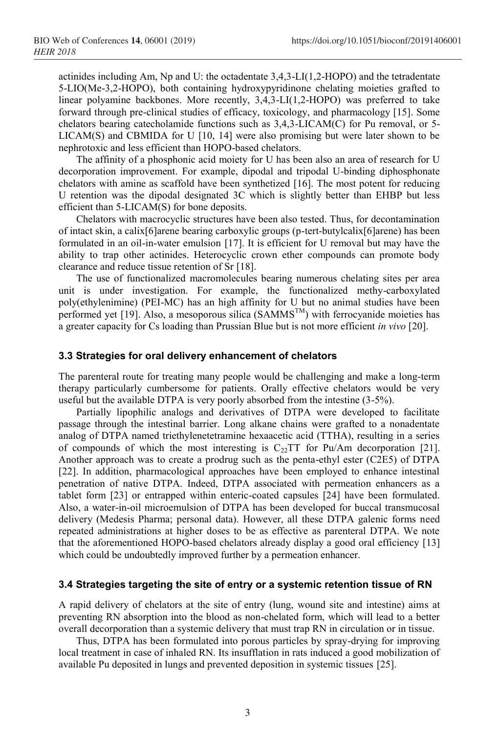actinides including Am, Np and U: the octadentate 3,4,3-LI(1,2-HOPO) and the tetradentate 5-LIO(Me-3,2-HOPO), both containing hydroxypyridinone chelating moieties grafted to linear polyamine backbones. More recently, 3,4,3-LI(1,2-HOPO) was preferred to take forward through pre-clinical studies of efficacy, toxicology, and pharmacology [\[15\]](#page-3-13). Some chelators bearing catecholamide functions such as 3,4,3-LICAM(C) for Pu removal, or 5-  $LICAM(S)$  and CBMIDA for U [\[10,](#page-3-8) [14\]](#page-3-12) were also promising but were later shown to be nephrotoxic and less efficient than HOPO-based chelators.

The affinity of a phosphonic acid moiety for U has been also an area of research for U decorporation improvement. For example, dipodal and tripodal U-binding diphosphonate chelators with amine as scaffold have been synthetized [\[16\]](#page-3-14). The most potent for reducing U retention was the dipodal designated 3C which is slightly better than EHBP but less efficient than 5-LICAM(S) for bone deposits.

Chelators with macrocyclic structures have been also tested. Thus, for decontamination of intact skin, a calix[6]arene bearing carboxylic groups (p-tert-butylcalix[6]arene) has been formulated in an oil-in-water emulsion [\[17\]](#page-3-15). It is efficient for U removal but may have the ability to trap other actinides. Heterocyclic crown ether compounds can promote body clearance and reduce tissue retention of Sr [\[18\]](#page-3-16).

The use of functionalized macromolecules bearing numerous chelating sites per area unit is under investigation. For example, the functionalized methy-carboxylated poly(ethylenimine) (PEI-MC) has an high affinity for U but no animal studies have been performed yet [\[19\]](#page-3-17). Also, a mesoporous silica ( $SAMMS^{TM}$ ) with ferrocyanide moieties has a greater capacity for Cs loading than Prussian Blue but is not more efficient *in vivo* [\[20\]](#page-3-18).

#### **3.3 Strategies for oral delivery enhancement of chelators**

The parenteral route for treating many people would be challenging and make a long-term therapy particularly cumbersome for patients. Orally effective chelators would be very useful but the available DTPA is very poorly absorbed from the intestine (3-5%).

Partially lipophilic analogs and derivatives of DTPA were developed to facilitate passage through the intestinal barrier. Long alkane chains were grafted to a nonadentate analog of DTPA named triethylenetetramine hexaacetic acid (TTHA), resulting in a series of compounds of which the most interesting is  $C_{22}TT$  for Pu/Am decorporation [\[21\]](#page-3-19). Another approach was to create a prodrug such as the penta-ethyl ester (C2E5) of DTPA [\[22\]](#page-3-20). In addition, pharmacological approaches have been employed to enhance intestinal penetration of native DTPA. Indeed, DTPA associated with permeation enhancers as a tablet form [\[23\]](#page-3-21) or entrapped within enteric-coated capsules [\[24\]](#page-3-22) have been formulated. Also, a water-in-oil microemulsion of DTPA has been developed for buccal transmucosal delivery (Medesis Pharma; personal data). However, all these DTPA galenic forms need repeated administrations at higher doses to be as effective as parenteral DTPA. We note that the aforementioned HOPO-based chelators already display a good oral efficiency [\[13\]](#page-3-11) which could be undoubtedly improved further by a permeation enhancer.

#### **3.4 Strategies targeting the site of entry or a systemic retention tissue of RN**

A rapid delivery of chelators at the site of entry (lung, wound site and intestine) aims at preventing RN absorption into the blood as non-chelated form, which will lead to a better overall decorporation than a systemic delivery that must trap RN in circulation or in tissue.

Thus, DTPA has been formulated into porous particles by spray-drying for improving local treatment in case of inhaled RN. Its insufflation in rats induced a good mobilization of available Pu deposited in lungs and prevented deposition in systemic tissues [\[25\]](#page-3-23).